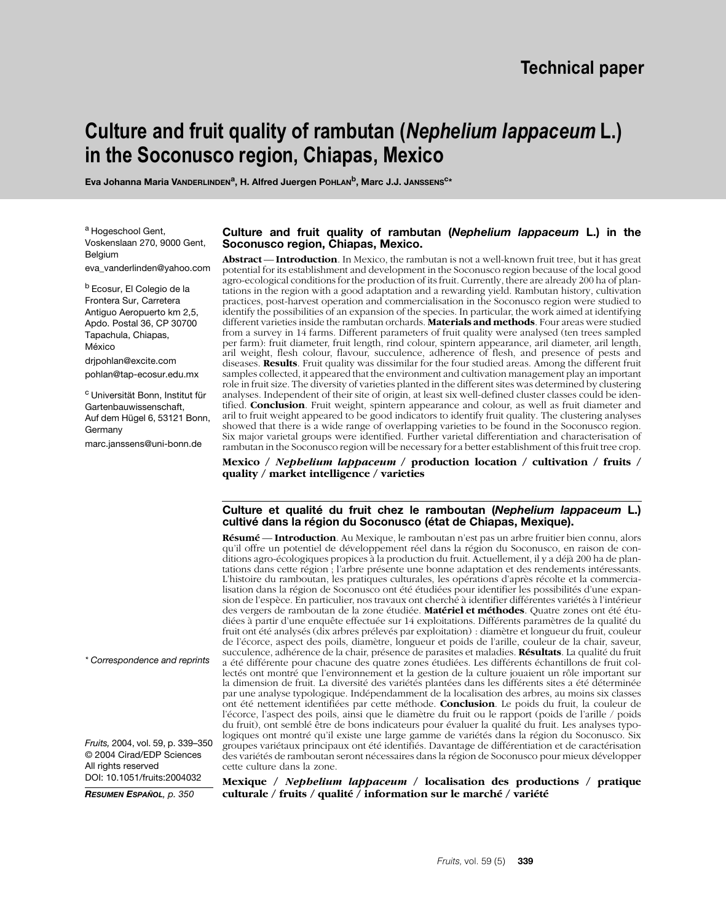# **Culture and fruit quality of rambutan (***Nephelium lappaceum* **L.) in the Soconusco region, Chiapas, Mexico**

Eva Johanna Maria VANDERLINDEN<sup>a</sup>, H. Alfred Juergen POHLAN<sup>b</sup>, Marc J.J. JANSSENS<sup>C\*</sup>

a Hogeschool Gent. Voskenslaan 270, 9000 Gent, Belgium

eva\_vanderlinden@yahoo.com

<sup>b</sup> Ecosur, El Colegio de la Frontera Sur, Carretera Antiguo Aeropuerto km 2,5, Apdo. Postal 36, CP 30700 Tapachula, Chiapas, México

drjpohlan@excite.com pohlan@tap-ecosur.edu.mx

c Universität Bonn, Institut für Gartenbauwissenschaft, Auf dem Hügel 6, 53121 Bonn, Germany

marc.janssens@uni-bonn.de

#### **Culture and fruit quality of rambutan (***Nephelium lappaceum* **L.) in the Soconusco region, Chiapas, Mexico.**

**Abstract** –– **Introduction**. In Mexico, the rambutan is not a well-known fruit tree, but it has great potential for its establishment and development in the Soconusco region because of the local good agro-ecological conditions for the production of its fruit. Currently, there are already 200 ha of plantations in the region with a good adaptation and a rewarding yield. Rambutan history, cultivation practices, post-harvest operation and commercialisation in the Soconusco region were studied to identify the possibilities of an expansion of the species. In particular, the work aimed at identifying different varieties inside the rambutan orchards. **Materials and methods**. Four areas were studied from a survey in 14 farms. Different parameters of fruit quality were analysed (ten trees sampled per farm): fruit diameter, fruit length, rind colour, spintern appearance, aril diameter, aril length, aril weight, flesh colour, flavour, succulence, adherence of flesh, and presence of pests and diseases. **Results**. Fruit quality was dissimilar for the four studied areas. Among the different fruit samples collected, it appeared that the environment and cultivation management play an important role in fruit size. The diversity of varieties planted in the different sites was determined by clustering analyses. Independent of their site of origin, at least six well-defined cluster classes could be identified. **Conclusion**. Fruit weight, spintern appearance and colour, as well as fruit diameter and aril to fruit weight appeared to be good indicators to identify fruit quality. The clustering analyses showed that there is a wide range of overlapping varieties to be found in the Soconusco region. Six major varietal groups were identified. Further varietal differentiation and characterisation of rambutan in the Soconusco region will be necessary for a better establishment of this fruit tree crop.

**Mexico /** *Nephelium lappaceum* **/ production location / cultivation / fruits / quality / market intelligence / varieties**

#### **Culture et qualité du fruit chez le ramboutan (***Nephelium lappaceum* **L.) cultivé dans la région du Soconusco (état de Chiapas, Mexique).**

**Résumé** –– **Introduction**. Au Mexique, le ramboutan n'est pas un arbre fruitier bien connu, alors qu'il offre un potentiel de développement réel dans la région du Soconusco, en raison de conditions agro-écologiques propices à la production du fruit. Actuellement, il y a déjà 200 ha de plantations dans cette région ; l'arbre présente une bonne adaptation et des rendements intéressants. L'histoire du ramboutan, les pratiques culturales, les opérations d'après récolte et la commercialisation dans la région de Soconusco ont été étudiées pour identifier les possibilités d'une expansion de l'espèce. En particulier, nos travaux ont cherché à identifier différentes variétés à l'intérieur des vergers de ramboutan de la zone étudiée. **Matériel et méthodes**. Quatre zones ont été étudiées à partir d'une enquête effectuée sur 14 exploitations. Différents paramètres de la qualité du fruit ont été analysés (dix arbres prélevés par exploitation) : diamètre et longueur du fruit, couleur de l'écorce, aspect des poils, diamètre, longueur et poids de l'arille, couleur de la chair, saveur, succulence, adhérence de la chair, présence de parasites et maladies. **Résultats**. La qualité du fruit a été différente pour chacune des quatre zones étudiées. Les différents échantillons de fruit collectés ont montré que l'environnement et la gestion de la culture jouaient un rôle important sur la dimension de fruit. La diversité des variétés plantées dans les différents sites a été déterminée par une analyse typologique. Indépendamment de la localisation des arbres, au moins six classes ont été nettement identifiées par cette méthode. **Conclusion**. Le poids du fruit, la couleur de l'écorce, l'aspect des poils, ainsi que le diamètre du fruit ou le rapport (poids de l'arille / poids du fruit), ont semblé être de bons indicateurs pour évaluer la qualité du fruit. Les analyses typologiques ont montré qu'il existe une large gamme de variétés dans la région du Soconusco. Six groupes variétaux principaux ont été identifiés. Davantage de différentiation et de caractérisation des variétés de ramboutan seront nécessaires dans la région de Soconusco pour mieux développer cette culture dans la zone.

**Mexique /** *Nephelium lappaceum* **/ localisation des productions / pratique culturale / fruits / qualité / information sur le marché / variété**

*\* Correspondence and reprints*

*Fruits,* 2004, vol. 59, p. 339–350 © 2004 Cirad/EDP Sciences All rights reserved DOI: 10.1051/fruits:2004032

*RESUMEN ESPAÑOL, p. 350*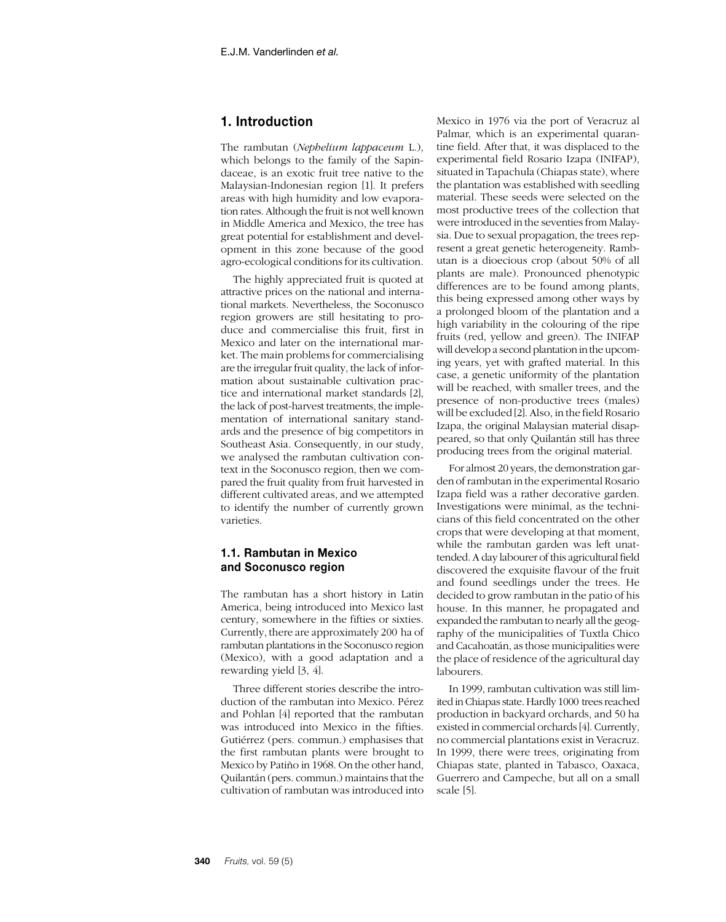# **1. Introduction**

The rambutan (*Nephelium lappaceum* L.), which belongs to the family of the Sapindaceae, is an exotic fruit tree native to the Malaysian-Indonesian region [1]. It prefers areas with high humidity and low evaporation rates. Although the fruit is not well known in Middle America and Mexico, the tree has great potential for establishment and development in this zone because of the good agro-ecological conditions for its cultivation.

The highly appreciated fruit is quoted at attractive prices on the national and international markets. Nevertheless, the Soconusco region growers are still hesitating to produce and commercialise this fruit, first in Mexico and later on the international market. The main problems for commercialising are the irregular fruit quality, the lack of information about sustainable cultivation practice and international market standards [2], the lack of post-harvest treatments, the implementation of international sanitary standards and the presence of big competitors in Southeast Asia. Consequently, in our study, we analysed the rambutan cultivation context in the Soconusco region, then we compared the fruit quality from fruit harvested in different cultivated areas, and we attempted to identify the number of currently grown varieties.

# **1.1. Rambutan in Mexico and Soconusco region**

The rambutan has a short history in Latin America, being introduced into Mexico last century, somewhere in the fifties or sixties. Currently, there are approximately 200 ha of rambutan plantations in the Soconusco region (Mexico), with a good adaptation and a rewarding yield [3, 4].

Three different stories describe the introduction of the rambutan into Mexico. Pérez and Pohlan [4] reported that the rambutan was introduced into Mexico in the fifties. Gutiérrez (pers. commun.) emphasises that the first rambutan plants were brought to Mexico by Patiño in 1968. On the other hand, Quilantán (pers. commun.) maintains that the cultivation of rambutan was introduced into

Mexico in 1976 via the port of Veracruz al Palmar, which is an experimental quarantine field. After that, it was displaced to the experimental field Rosario Izapa (INIFAP), situated in Tapachula (Chiapas state), where the plantation was established with seedling material. These seeds were selected on the most productive trees of the collection that were introduced in the seventies from Malaysia. Due to sexual propagation, the trees represent a great genetic heterogeneity. Rambutan is a dioecious crop (about 50% of all plants are male). Pronounced phenotypic differences are to be found among plants, this being expressed among other ways by a prolonged bloom of the plantation and a high variability in the colouring of the ripe fruits (red, yellow and green). The INIFAP will develop a second plantation in the upcoming years, yet with grafted material. In this case, a genetic uniformity of the plantation will be reached, with smaller trees, and the presence of non-productive trees (males) will be excluded [2]. Also, in the field Rosario Izapa, the original Malaysian material disappeared, so that only Quilantán still has three producing trees from the original material.

For almost 20 years, the demonstration garden of rambutan in the experimental Rosario Izapa field was a rather decorative garden. Investigations were minimal, as the technicians of this field concentrated on the other crops that were developing at that moment, while the rambutan garden was left unattended. A day labourer of this agricultural field discovered the exquisite flavour of the fruit and found seedlings under the trees. He decided to grow rambutan in the patio of his house. In this manner, he propagated and expanded the rambutan to nearly all the geography of the municipalities of Tuxtla Chico and Cacahoatán, as those municipalities were the place of residence of the agricultural day labourers.

In 1999, rambutan cultivation was still limited in Chiapas state. Hardly 1000 trees reached production in backyard orchards, and 50 ha existed in commercial orchards [4]. Currently, no commercial plantations exist in Veracruz. In 1999, there were trees, originating from Chiapas state, planted in Tabasco, Oaxaca, Guerrero and Campeche, but all on a small scale [5].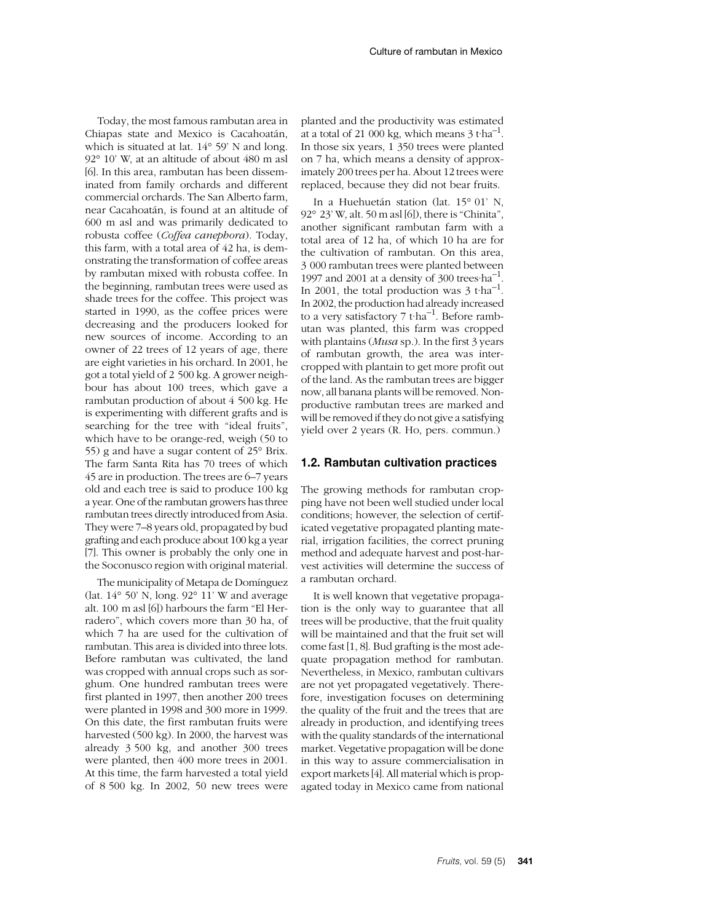Today, the most famous rambutan area in Chiapas state and Mexico is Cacahoatán, which is situated at lat. 14° 59' N and long. 92° 10' W, at an altitude of about 480 m asl [6]. In this area, rambutan has been disseminated from family orchards and different commercial orchards. The San Alberto farm, near Cacahoatán, is found at an altitude of 600 m asl and was primarily dedicated to robusta coffee (*Coffea canephora*). Today, this farm, with a total area of 42 ha, is demonstrating the transformation of coffee areas by rambutan mixed with robusta coffee. In the beginning, rambutan trees were used as shade trees for the coffee. This project was started in 1990, as the coffee prices were decreasing and the producers looked for new sources of income. According to an owner of 22 trees of 12 years of age, there are eight varieties in his orchard. In 2001, he got a total yield of 2 500 kg. A grower neighbour has about 100 trees, which gave a rambutan production of about 4 500 kg. He is experimenting with different grafts and is searching for the tree with "ideal fruits", which have to be orange-red, weigh (50 to 55) g and have a sugar content of 25° Brix. The farm Santa Rita has 70 trees of which 45 are in production. The trees are 6–7 years old and each tree is said to produce 100 kg a year. One of the rambutan growers has three rambutan trees directly introduced from Asia. They were 7–8 years old, propagated by bud grafting and each produce about 100 kg a year [7]. This owner is probably the only one in the Soconusco region with original material.

The municipality of Metapa de Domínguez (lat. 14° 50' N, long. 92° 11' W and average alt. 100 m asl [6]) harbours the farm "El Herradero", which covers more than 30 ha, of which 7 ha are used for the cultivation of rambutan. This area is divided into three lots. Before rambutan was cultivated, the land was cropped with annual crops such as sorghum. One hundred rambutan trees were first planted in 1997, then another 200 trees were planted in 1998 and 300 more in 1999. On this date, the first rambutan fruits were harvested (500 kg). In 2000, the harvest was already 3 500 kg, and another 300 trees were planted, then 400 more trees in 2001. At this time, the farm harvested a total yield of 8 500 kg. In 2002, 50 new trees were

planted and the productivity was estimated at a total of 21 000 kg, which means  $3t$  tha<sup>-1</sup>. In those six years, 1 350 trees were planted on 7 ha, which means a density of approximately 200 trees per ha. About 12 trees were replaced, because they did not bear fruits.

In a Huehuetán station (lat. 15° 01' N, 92° 23' W, alt. 50 m asl [6]), there is "Chinita", another significant rambutan farm with a total area of 12 ha, of which 10 ha are for the cultivation of rambutan. On this area, 3 000 rambutan trees were planted between 1997 and 2001 at a density of 300 trees  $ha^{-1}$ . In 2001, the total production was  $3$  t·ha<sup>-1</sup>. In 2002, the production had already increased to a very satisfactory  $7$  t·ha<sup>-1</sup>. Before rambutan was planted, this farm was cropped with plantains (*Musa* sp.). In the first 3 years of rambutan growth, the area was intercropped with plantain to get more profit out of the land. As the rambutan trees are bigger now, all banana plants will be removed. Nonproductive rambutan trees are marked and will be removed if they do not give a satisfying yield over 2 years (R. Ho, pers. commun.)

#### **1.2. Rambutan cultivation practices**

The growing methods for rambutan cropping have not been well studied under local conditions; however, the selection of certificated vegetative propagated planting material, irrigation facilities, the correct pruning method and adequate harvest and post-harvest activities will determine the success of a rambutan orchard.

It is well known that vegetative propagation is the only way to guarantee that all trees will be productive, that the fruit quality will be maintained and that the fruit set will come fast [1, 8]. Bud grafting is the most adequate propagation method for rambutan. Nevertheless, in Mexico, rambutan cultivars are not yet propagated vegetatively. Therefore, investigation focuses on determining the quality of the fruit and the trees that are already in production, and identifying trees with the quality standards of the international market. Vegetative propagation will be done in this way to assure commercialisation in export markets [4]. All material which is propagated today in Mexico came from national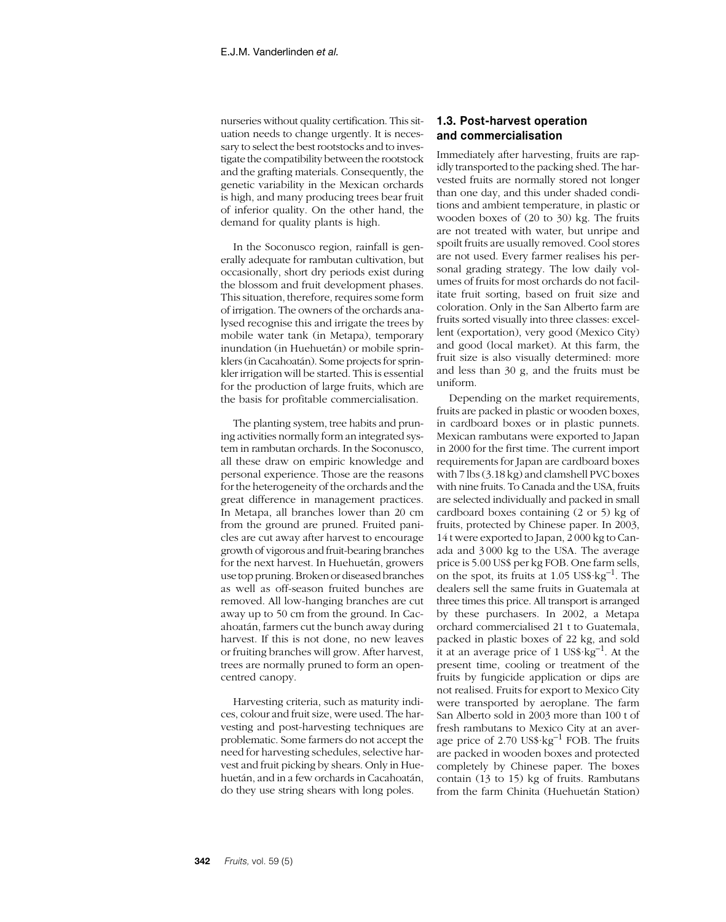nurseries without quality certification. This situation needs to change urgently. It is necessary to select the best rootstocks and to investigate the compatibility between the rootstock and the grafting materials. Consequently, the genetic variability in the Mexican orchards is high, and many producing trees bear fruit of inferior quality. On the other hand, the demand for quality plants is high.

In the Soconusco region, rainfall is generally adequate for rambutan cultivation, but occasionally, short dry periods exist during the blossom and fruit development phases. This situation, therefore, requires some form of irrigation. The owners of the orchards analysed recognise this and irrigate the trees by mobile water tank (in Metapa), temporary inundation (in Huehuetán) or mobile sprinklers (in Cacahoatán). Some projects for sprinkler irrigation will be started. This is essential for the production of large fruits, which are the basis for profitable commercialisation.

The planting system, tree habits and pruning activities normally form an integrated system in rambutan orchards. In the Soconusco, all these draw on empiric knowledge and personal experience. Those are the reasons for the heterogeneity of the orchards and the great difference in management practices. In Metapa, all branches lower than 20 cm from the ground are pruned. Fruited panicles are cut away after harvest to encourage growth of vigorous and fruit-bearing branches for the next harvest. In Huehuetán, growers use top pruning. Broken or diseased branches as well as off-season fruited bunches are removed. All low-hanging branches are cut away up to 50 cm from the ground. In Cacahoatán, farmers cut the bunch away during harvest. If this is not done, no new leaves or fruiting branches will grow. After harvest, trees are normally pruned to form an opencentred canopy.

Harvesting criteria, such as maturity indices, colour and fruit size, were used. The harvesting and post-harvesting techniques are problematic. Some farmers do not accept the need for harvesting schedules, selective harvest and fruit picking by shears. Only in Huehuetán, and in a few orchards in Cacahoatán, do they use string shears with long poles.

# **1.3. Post-harvest operation and commercialisation**

Immediately after harvesting, fruits are rapidly transported to the packing shed. The harvested fruits are normally stored not longer than one day, and this under shaded conditions and ambient temperature, in plastic or wooden boxes of (20 to 30) kg. The fruits are not treated with water, but unripe and spoilt fruits are usually removed. Cool stores are not used. Every farmer realises his personal grading strategy. The low daily volumes of fruits for most orchards do not facilitate fruit sorting, based on fruit size and coloration. Only in the San Alberto farm are fruits sorted visually into three classes: excellent (exportation), very good (Mexico City) and good (local market). At this farm, the fruit size is also visually determined: more and less than 30 g, and the fruits must be uniform.

Depending on the market requirements, fruits are packed in plastic or wooden boxes, in cardboard boxes or in plastic punnets. Mexican rambutans were exported to Japan in 2000 for the first time. The current import requirements for Japan are cardboard boxes with 7 lbs (3.18 kg) and clamshell PVC boxes with nine fruits. To Canada and the USA, fruits are selected individually and packed in small cardboard boxes containing (2 or 5) kg of fruits, protected by Chinese paper. In 2003, 14 t were exported to Japan, 2 000 kg to Canada and 3 000 kg to the USA. The average price is 5.00 US\$ per kg FOB. One farm sells, on the spot, its fruits at  $1.05 \text{ US}$ \$  $\text{kg}^{-1}$ . The dealers sell the same fruits in Guatemala at three times this price. All transport is arranged by these purchasers. In 2002, a Metapa orchard commercialised 21 t to Guatemala, packed in plastic boxes of 22 kg, and sold it at an average price of 1 US\$ $\text{kg}^{-1}$ . At the present time, cooling or treatment of the fruits by fungicide application or dips are not realised. Fruits for export to Mexico City were transported by aeroplane. The farm San Alberto sold in 2003 more than 100 t of fresh rambutans to Mexico City at an average price of 2.70  $US\$ rkg<sup>-1</sup> FOB. The fruits are packed in wooden boxes and protected completely by Chinese paper. The boxes contain (13 to 15) kg of fruits. Rambutans from the farm Chinita (Huehuetán Station)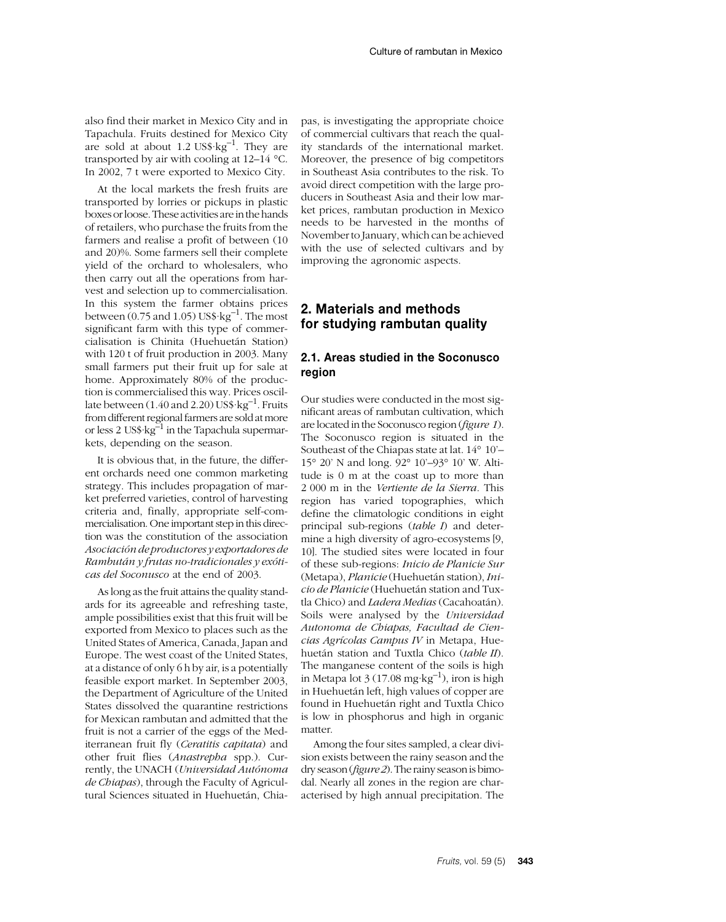also find their market in Mexico City and in Tapachula. Fruits destined for Mexico City are sold at about 1.2 US\$ $\text{kg}^{-1}$ . They are transported by air with cooling at 12–14 °C. In 2002, 7 t were exported to Mexico City.

At the local markets the fresh fruits are transported by lorries or pickups in plastic boxes or loose. These activities are in the hands of retailers, who purchase the fruits from the farmers and realise a profit of between (10 and 20)%. Some farmers sell their complete yield of the orchard to wholesalers, who then carry out all the operations from harvest and selection up to commercialisation. In this system the farmer obtains prices between  $(0.75 \text{ and } 1.05) \text{ US}$ \$ $\text{kg}^{-1}$ . The most significant farm with this type of commercialisation is Chinita (Huehuetán Station) with 120 t of fruit production in 2003. Many small farmers put their fruit up for sale at home. Approximately 80% of the production is commercialised this way. Prices oscillate between  $(1.40 \text{ and } 2.20)$  US\$ $\text{kg}^{-1}$ . Fruits from different regional farmers are sold at more or less 2 US\$·kg<sup>-1</sup> in the Tapachula supermarkets, depending on the season.

It is obvious that, in the future, the different orchards need one common marketing strategy. This includes propagation of market preferred varieties, control of harvesting criteria and, finally, appropriate self-commercialisation. One important step in this direction was the constitution of the association *Asociación de productores y exportadores de Rambután y frutas no-tradicionales y exóticas del Soconusco* at the end of 2003.

As long as the fruit attains the quality standards for its agreeable and refreshing taste, ample possibilities exist that this fruit will be exported from Mexico to places such as the United States of America, Canada, Japan and Europe. The west coast of the United States, at a distance of only 6 h by air, is a potentially feasible export market. In September 2003, the Department of Agriculture of the United States dissolved the quarantine restrictions for Mexican rambutan and admitted that the fruit is not a carrier of the eggs of the Mediterranean fruit fly (*Ceratitis capitata*) and other fruit flies (*Anastrepha* spp.). Currently, the UNACH (*Universidad Autónoma de Chiapas*), through the Faculty of Agricultural Sciences situated in Huehuetán, Chiapas, is investigating the appropriate choice of commercial cultivars that reach the quality standards of the international market. Moreover, the presence of big competitors in Southeast Asia contributes to the risk. To avoid direct competition with the large producers in Southeast Asia and their low market prices, rambutan production in Mexico needs to be harvested in the months of November to January, which can be achieved with the use of selected cultivars and by improving the agronomic aspects.

# **2. Materials and methods for studying rambutan quality**

# **2.1. Areas studied in the Soconusco region**

Our studies were conducted in the most significant areas of rambutan cultivation, which are located in the Soconusco region (*figure 1*). The Soconusco region is situated in the Southeast of the Chiapas state at lat. 14° 10'– 15° 20' N and long. 92° 10'–93° 10' W. Altitude is 0 m at the coast up to more than 2 000 m in the *Vertiente de la Sierra*. This region has varied topographies, which define the climatologic conditions in eight principal sub-regions (*table I*) and determine a high diversity of agro-ecosystems [9, 10]. The studied sites were located in four of these sub-regions: *Inicio de Planicie Sur* (Metapa), *Planicie* (Huehuetán station), *Inicio de Planicie* (Huehuetán station and Tuxtla Chico) and *Ladera Medias* (Cacahoatán). Soils were analysed by the *Universidad Autonoma de Chiapas, Facultad de Ciencias Agrícolas Campus IV* in Metapa, Huehuetán station and Tuxtla Chico (*table II*). The manganese content of the soils is high in Metapa lot  $3(17.08 \text{ mg} \cdot \text{kg}^{-1})$ , iron is high in Huehuetán left, high values of copper are found in Huehuetán right and Tuxtla Chico is low in phosphorus and high in organic matter.

Among the four sites sampled, a clear division exists between the rainy season and the dry season (*figure 2*). The rainy season is bimodal. Nearly all zones in the region are characterised by high annual precipitation. The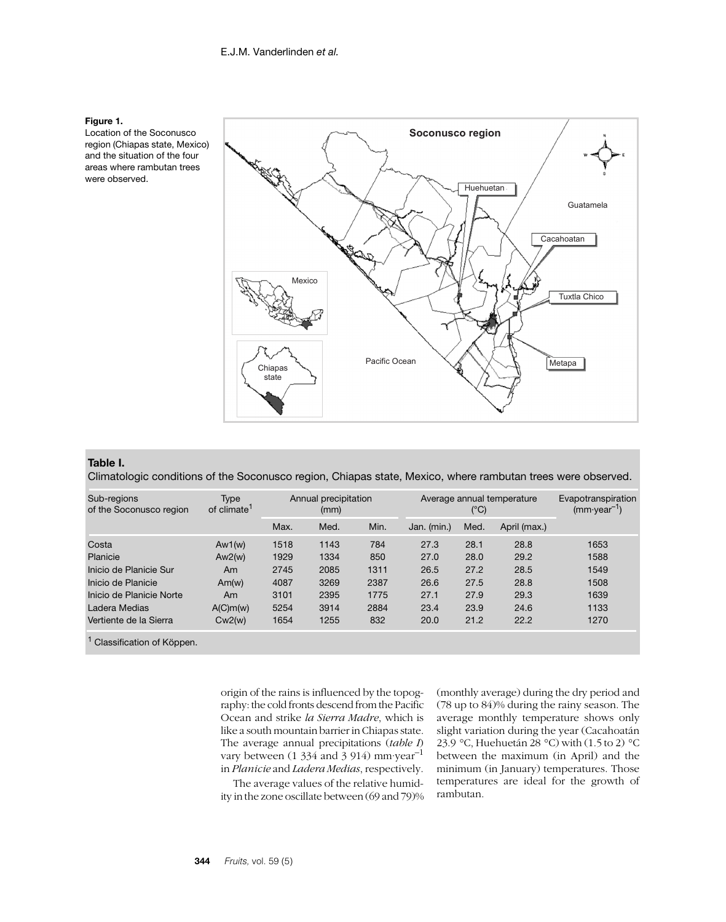

Location of the Soconusco region (Chiapas state, Mexico) and the situation of the four areas where rambutan trees were observed.



#### **Table I.**

Climatologic conditions of the Soconusco region, Chiapas state, Mexico, where rambutan trees were observed.

| Sub-regions<br>of the Soconusco region | Type<br>of climate <sup>1</sup> | Annual precipitation<br>(mm) |      | Average annual temperature<br>(°C) |             |      | Evapotranspiration<br>$(mm\cdot year^{-1})$ |      |
|----------------------------------------|---------------------------------|------------------------------|------|------------------------------------|-------------|------|---------------------------------------------|------|
|                                        |                                 | Max.                         | Med. | Min.                               | Jan. (min.) | Med. | April (max.)                                |      |
| Costa                                  | Aw1(w)                          | 1518                         | 1143 | 784                                | 27.3        | 28.1 | 28.8                                        | 1653 |
| Planicie                               | Aw2(w)                          | 1929                         | 1334 | 850                                | 27.0        | 28.0 | 29.2                                        | 1588 |
| Inicio de Planicie Sur                 | Am                              | 2745                         | 2085 | 1311                               | 26.5        | 27.2 | 28.5                                        | 1549 |
| Inicio de Planicie                     | Am(w)                           | 4087                         | 3269 | 2387                               | 26.6        | 27.5 | 28.8                                        | 1508 |
| Inicio de Planicie Norte               | Am                              | 3101                         | 2395 | 1775                               | 27.1        | 27.9 | 29.3                                        | 1639 |
| Ladera Medias                          | A(C)m(w)                        | 5254                         | 3914 | 2884                               | 23.4        | 23.9 | 24.6                                        | 1133 |
| Vertiente de la Sierra                 | Cw2(w)                          | 1654                         | 1255 | 832                                | 20.0        | 21.2 | 22.2                                        | 1270 |
| Classification of Köppen.              |                                 |                              |      |                                    |             |      |                                             |      |

origin of the rains is influenced by the topography: the cold fronts descend from the Pacific Ocean and strike *la Sierra Madre*, which is like a south mountain barrier in Chiapas state. The average annual precipitations (*table I*) vary between (1 334 and 3 914) mm·year–1 in *Planicie* and *Ladera Medias*, respectively.

The average values of the relative humidity in the zone oscillate between (69 and 79)% (monthly average) during the dry period and (78 up to 84)% during the rainy season. The average monthly temperature shows only slight variation during the year (Cacahoatán 23.9 °C, Huehuetán 28 °C) with (1.5 to 2) °C between the maximum (in April) and the minimum (in January) temperatures. Those temperatures are ideal for the growth of rambutan.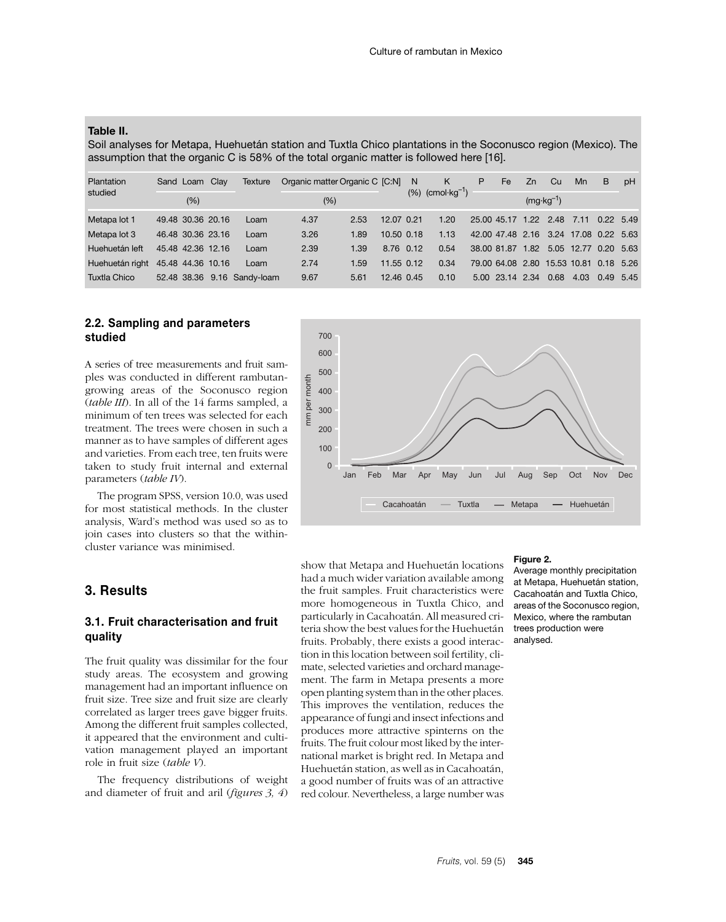#### **Table II.**

Soil analyses for Metapa, Huehuetán station and Tuxtla Chico plantations in the Soconusco region (Mexico). The assumption that the organic C is 58% of the total organic matter is followed here [16].

| Plantation                        | Sand Loam Clay              | Texture | Organic matter Organic C [C:N] |      |                | N | K                       | P | Fe                                     | Zn   | Cu.                  | Mn                   | B         | pH |
|-----------------------------------|-----------------------------|---------|--------------------------------|------|----------------|---|-------------------------|---|----------------------------------------|------|----------------------|----------------------|-----------|----|
| studied                           | $(\% )$                     |         | (%)                            |      |                |   | $(%)$ (cmol $kg^{-1}$ ) |   |                                        |      | $(mg \cdot kg^{-1})$ |                      |           |    |
| Metapa lot 1                      | 49.48 30.36 20.16           | Loam    | 4.37                           | 2.53 | 12.07 0.21     |   | 1.20                    |   | 25.00 45.17 1.22 2.48                  |      |                      | 7.11                 | 0.22 5.49 |    |
| Metapa lot 3                      | 46.48 30.36 23.16           | Loam    | 3.26                           | 1.89 | $10.50$ $0.18$ |   | 1.13                    |   | 42.00 47.48 2.16 3.24 17.08 0.22 5.63  |      |                      |                      |           |    |
| Huehuetán left                    | 45.48 42.36 12.16           | Loam    | 2.39                           | 1.39 | 8.76 0.12      |   | 0.54                    |   | 38.00 81.87                            | 1.82 |                      | 5.05 12.77 0.20 5.63 |           |    |
| Huehuetán right 45.48 44.36 10.16 |                             | Loam    | 2.74                           | 1.59 | 11.55 0.12     |   | 0.34                    |   | 79.00 64.08 2.80 15.53 10.81 0.18 5.26 |      |                      |                      |           |    |
| Tuxtla Chico                      | 52.48 38.36 9.16 Sandy-loam |         | 9.67                           | 5.61 | 12.46 0.45     |   | 0.10                    |   | 5.00 23.14 2.34                        |      | 0.68                 | 4.03                 | 0.49 5.45 |    |

# **2.2. Sampling and parameters studied**

A series of tree measurements and fruit samples was conducted in different rambutangrowing areas of the Soconusco region (*table III*). In all of the 14 farms sampled, a minimum of ten trees was selected for each treatment. The trees were chosen in such a manner as to have samples of different ages and varieties. From each tree, ten fruits were taken to study fruit internal and external parameters (*table IV*).

The program SPSS, version 10.0, was used for most statistical methods. In the cluster analysis, Ward's method was used so as to join cases into clusters so that the withincluster variance was minimised.

# **3. Results**

## **3.1. Fruit characterisation and fruit quality**

The fruit quality was dissimilar for the four study areas. The ecosystem and growing management had an important influence on fruit size. Tree size and fruit size are clearly correlated as larger trees gave bigger fruits. Among the different fruit samples collected, it appeared that the environment and cultivation management played an important role in fruit size (*table V*).

The frequency distributions of weight and diameter of fruit and aril (*figures 3, 4*)



show that Metapa and Huehuetán locations had a much wider variation available among the fruit samples. Fruit characteristics were more homogeneous in Tuxtla Chico, and particularly in Cacahoatán. All measured criteria show the best values for the Huehuetán fruits. Probably, there exists a good interaction in this location between soil fertility, climate, selected varieties and orchard management. The farm in Metapa presents a more open planting system than in the other places. This improves the ventilation, reduces the appearance of fungi and insect infections and produces more attractive spinterns on the fruits. The fruit colour most liked by the international market is bright red. In Metapa and Huehuetán station, as well as in Cacahoatán, a good number of fruits was of an attractive red colour. Nevertheless, a large number was

#### **Figure 2.**

Average monthly precipitation at Metapa, Huehuetán station, Cacahoatán and Tuxtla Chico, areas of the Soconusco region, Mexico, where the rambutan trees production were analysed.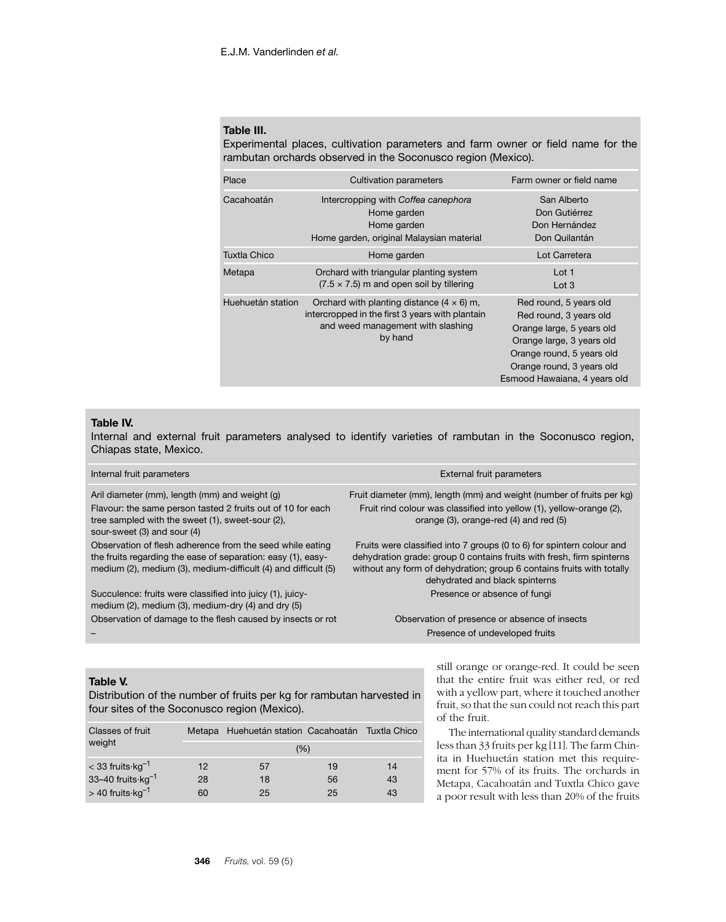## **Table III.**

Experimental places, cultivation parameters and farm owner or field name for the rambutan orchards observed in the Soconusco region (Mexico).

| Place             | <b>Cultivation parameters</b>                                                                                                                       | Farm owner or field name                                                                                                                                                                             |
|-------------------|-----------------------------------------------------------------------------------------------------------------------------------------------------|------------------------------------------------------------------------------------------------------------------------------------------------------------------------------------------------------|
| Cacahoatán        | Intercropping with Coffea canephora<br>Home garden<br>Home garden<br>Home garden, original Malaysian material                                       | San Alberto<br>Don Gutiérrez<br>Don Hernández<br>Don Quilantán                                                                                                                                       |
| Tuxtla Chico      | Home garden                                                                                                                                         | Lot Carretera                                                                                                                                                                                        |
| Metapa            | Orchard with triangular planting system<br>$(7.5 \times 7.5)$ m and open soil by tillering                                                          | Lot 1<br>Lot 3                                                                                                                                                                                       |
| Huehuetán station | Orchard with planting distance $(4 \times 6)$ m,<br>intercropped in the first 3 years with plantain<br>and weed management with slashing<br>by hand | Red round, 5 years old<br>Red round, 3 years old<br>Orange large, 5 years old<br>Orange large, 3 years old<br>Orange round, 5 years old<br>Orange round, 3 years old<br>Esmood Hawaiana, 4 years old |

#### **Table IV.**

Internal and external fruit parameters analysed to identify varieties of rambutan in the Soconusco region, Chiapas state, Mexico.

| Internal fruit parameters                                                                                                                                                                        | <b>External fruit parameters</b>                                                                                                                                                                                                                          |
|--------------------------------------------------------------------------------------------------------------------------------------------------------------------------------------------------|-----------------------------------------------------------------------------------------------------------------------------------------------------------------------------------------------------------------------------------------------------------|
| Aril diameter (mm), length (mm) and weight (g)<br>Flavour: the same person tasted 2 fruits out of 10 for each<br>tree sampled with the sweet (1), sweet-sour (2),<br>sour-sweet (3) and sour (4) | Fruit diameter (mm), length (mm) and weight (number of fruits per kg)<br>Fruit rind colour was classified into yellow (1), yellow-orange (2),<br>orange $(3)$ , orange-red $(4)$ and red $(5)$                                                            |
| Observation of flesh adherence from the seed while eating<br>the fruits regarding the ease of separation: easy (1), easy-<br>medium (2), medium (3), medium-difficult (4) and difficult (5)      | Fruits were classified into 7 groups (0 to 6) for spintern colour and<br>dehydration grade: group 0 contains fruits with fresh, firm spinterns<br>without any form of dehydration; group 6 contains fruits with totally<br>dehydrated and black spinterns |
| Succulence: fruits were classified into juicy (1), juicy-<br>medium $(2)$ , medium $(3)$ , medium-dry $(4)$ and dry $(5)$                                                                        | Presence or absence of fungi                                                                                                                                                                                                                              |
| Observation of damage to the flesh caused by insects or rot                                                                                                                                      | Observation of presence or absence of insects                                                                                                                                                                                                             |
|                                                                                                                                                                                                  | Presence of undeveloped fruits                                                                                                                                                                                                                            |

# **Table V.**

Distribution of the number of fruits per kg for rambutan harvested in four sites of the Soconusco region (Mexico).

| Classes of fruit              |     | Metapa Huehuetán station Cacahoatán Tuxtla Chico |    |    |  |  |
|-------------------------------|-----|--------------------------------------------------|----|----|--|--|
| weight                        | (%) |                                                  |    |    |  |  |
| $<$ 33 fruits $kg^{-1}$       | 12  | 57                                               | 19 | 14 |  |  |
| 33-40 fruits kg <sup>-1</sup> | 28  | 18                                               | 56 | 43 |  |  |
| $>$ 40 fruits $kg^{-1}$       | 60  | 25                                               | 25 | 43 |  |  |

still orange or orange-red. It could be seen that the entire fruit was either red, or red with a yellow part, where it touched another fruit, so that the sun could not reach this part of the fruit.

The international quality standard demands less than 33 fruits per kg [11]. The farm Chinita in Huehuetán station met this requirement for 57% of its fruits. The orchards in Metapa, Cacahoatán and Tuxtla Chico gave a poor result with less than 20% of the fruits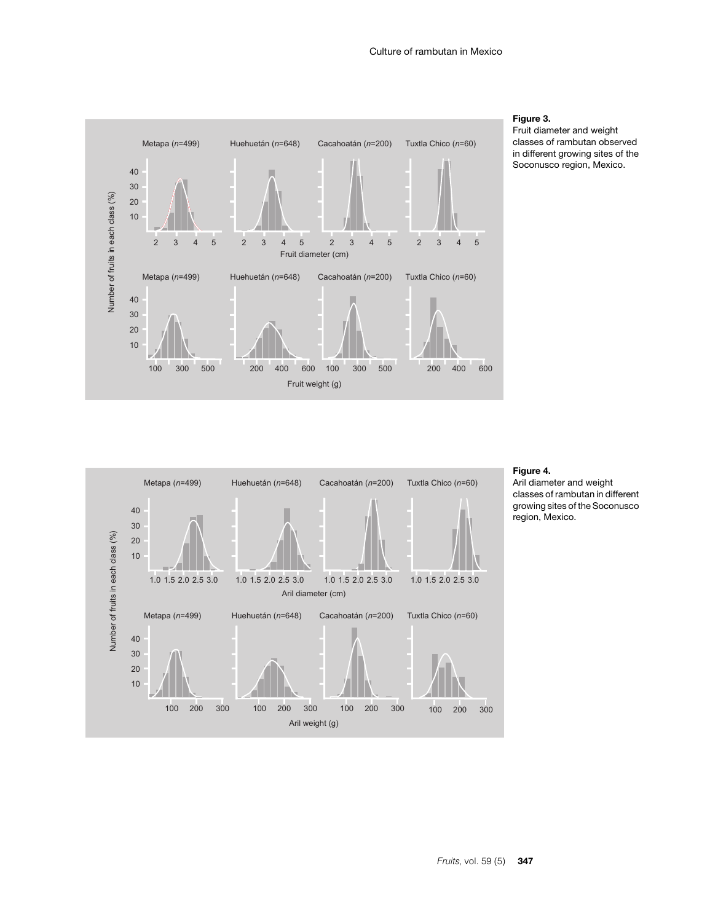

#### **Figure 3.**

Fruit diameter and weight classes of rambutan observed in different growing sites of the Soconusco region, Mexico.



#### **Figure 4.**

Aril diameter and weight classes of rambutan in different growing sites of the Soconusco region, Mexico.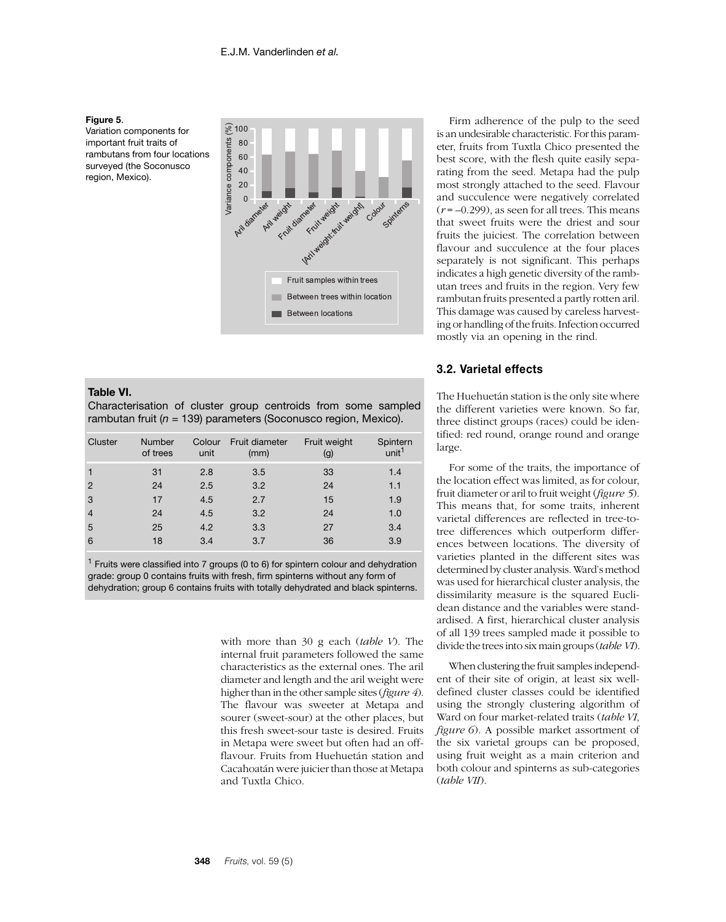

Variation components for important fruit traits of rambutans from four locations surveyed (the Soconusco region, Mexico).



#### **Table VI.**

Characterisation of cluster group centroids from some sampled rambutan fruit (*n* = 139) parameters (Soconusco region, Mexico).

| Cluster        | <b>Number</b><br>of trees | Colour<br>unit | Fruit diameter<br>(mm) | Fruit weight<br>(g) | Spintern<br>unit <sup>1</sup> |
|----------------|---------------------------|----------------|------------------------|---------------------|-------------------------------|
|                | 31                        | 2.8            | 3.5                    | 33                  | 1.4                           |
| $\overline{2}$ | 24                        | 2.5            | 3.2                    | 24                  | 1.1                           |
| 3              | 17                        | 4.5            | 2.7                    | 15                  | 1.9                           |
| $\overline{4}$ | 24                        | 4.5            | 3.2                    | 24                  | 1.0                           |
| 5              | 25                        | 4.2            | 3.3                    | 27                  | 3.4                           |
| 6              | 18                        | 3.4            | 3.7                    | 36                  | 3.9                           |

 $1$  Fruits were classified into 7 groups (0 to 6) for spintern colour and dehydration grade: group 0 contains fruits with fresh, firm spinterns without any form of dehydration; group 6 contains fruits with totally dehydrated and black spinterns.

> with more than 30 g each (*table V*). The internal fruit parameters followed the same characteristics as the external ones. The aril diameter and length and the aril weight were higher than in the other sample sites (*figure 4*). The flavour was sweeter at Metapa and sourer (sweet-sour) at the other places, but this fresh sweet-sour taste is desired. Fruits in Metapa were sweet but often had an offflavour. Fruits from Huehuetán station and Cacahoatán were juicier than those at Metapa and Tuxtla Chico.

Firm adherence of the pulp to the seed is an undesirable characteristic. For this parameter, fruits from Tuxtla Chico presented the best score, with the flesh quite easily separating from the seed. Metapa had the pulp most strongly attached to the seed. Flavour and succulence were negatively correlated  $(r = -0.299)$ , as seen for all trees. This means that sweet fruits were the driest and sour fruits the juiciest. The correlation between flavour and succulence at the four places separately is not significant. This perhaps indicates a high genetic diversity of the rambutan trees and fruits in the region. Very few rambutan fruits presented a partly rotten aril. This damage was caused by careless harvesting or handling of the fruits. Infection occurred mostly via an opening in the rind.

### **3.2. Varietal effects**

The Huehuetán station is the only site where the different varieties were known. So far, three distinct groups (races) could be identified: red round, orange round and orange large.

For some of the traits, the importance of the location effect was limited, as for colour, fruit diameter or aril to fruit weight (*figure 5*). This means that, for some traits, inherent varietal differences are reflected in tree-totree differences which outperform differences between locations. The diversity of varieties planted in the different sites was determined by cluster analysis. Ward's method was used for hierarchical cluster analysis, the dissimilarity measure is the squared Euclidean distance and the variables were standardised. A first, hierarchical cluster analysis of all 139 trees sampled made it possible to divide the trees into six main groups (*table VI*).

When clustering the fruit samples independent of their site of origin, at least six welldefined cluster classes could be identified using the strongly clustering algorithm of Ward on four market-related traits (*table VI*, *figure 6*). A possible market assortment of the six varietal groups can be proposed, using fruit weight as a main criterion and both colour and spinterns as sub-categories (*table VII*).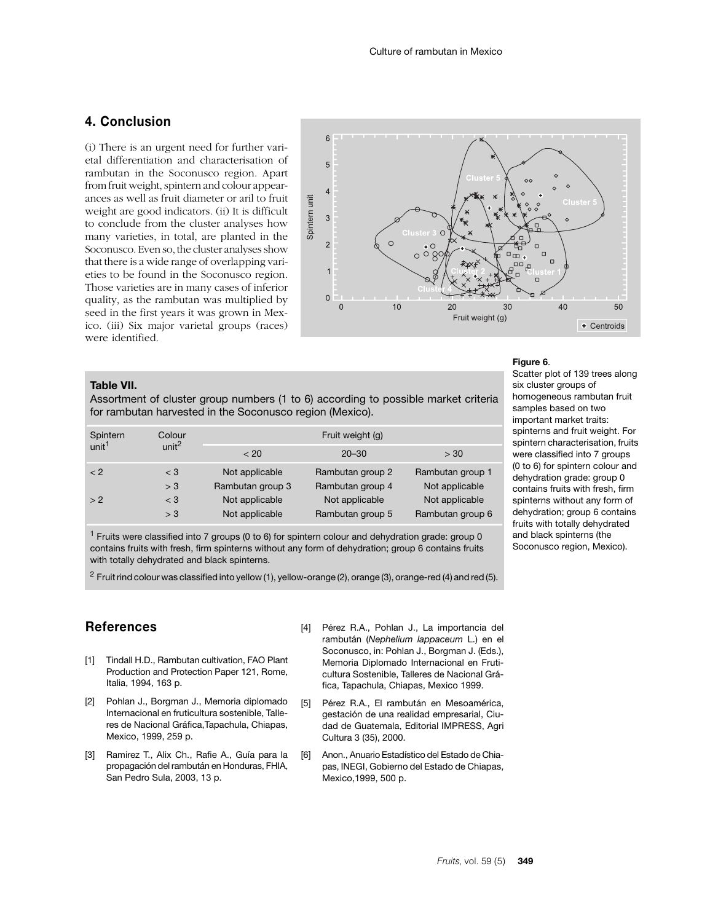# **4. Conclusion**

(i) There is an urgent need for further varietal differentiation and characterisation of rambutan in the Soconusco region. Apart from fruit weight, spintern and colour appearances as well as fruit diameter or aril to fruit weight are good indicators. (ii) It is difficult to conclude from the cluster analyses how many varieties, in total, are planted in the Soconusco. Even so, the cluster analyses show that there is a wide range of overlapping varieties to be found in the Soconusco region. Those varieties are in many cases of inferior quality, as the rambutan was multiplied by seed in the first years it was grown in Mexico. (iii) Six major varietal groups (races) were identified.



## **Table VII.**

Assortment of cluster group numbers (1 to 6) according to possible market criteria for rambutan harvested in the Soconusco region (Mexico).

| Spintern          | Colour            | Fruit weight (g) |                  |                  |  |  |  |
|-------------------|-------------------|------------------|------------------|------------------|--|--|--|
| unit <sup>1</sup> | unit <sup>2</sup> | < 20             | $20 - 30$        | > 30             |  |  |  |
| < 2               | $<$ 3             | Not applicable   | Rambutan group 2 | Rambutan group 1 |  |  |  |
|                   | > 3               | Rambutan group 3 | Rambutan group 4 | Not applicable   |  |  |  |
| > 2               | $<$ 3             | Not applicable   | Not applicable   | Not applicable   |  |  |  |
|                   | > 3               | Not applicable   | Rambutan group 5 | Rambutan group 6 |  |  |  |

 $1$  Fruits were classified into 7 groups (0 to 6) for spintern colour and dehydration grade: group 0 contains fruits with fresh, firm spinterns without any form of dehydration; group 6 contains fruits with totally dehydrated and black spinterns.

<sup>2</sup> Fruit rind colour was classified into yellow (1), yellow-orange (2), orange (3), orange-red (4) and red (5).

# **References**

- [1] Tindall H.D., Rambutan cultivation, FAO Plant Production and Protection Paper 121, Rome, Italia, 1994, 163 p.
- [2] Pohlan J., Borgman J., Memoria diplomado Internacional en fruticultura sostenible, Talleres de Nacional Gráfica,Tapachula, Chiapas, Mexico, 1999, 259 p.
- [3] Ramirez T., Alix Ch., Rafie A., Guía para la propagación del rambután en Honduras, FHIA, San Pedro Sula, 2003, 13 p.
- [4] Pérez R.A., Pohlan J., La importancia del rambután (*Nephelium lappaceum* L.) en el Soconusco, in: Pohlan J., Borgman J. (Eds.), Memoria Diplomado Internacional en Fruticultura Sostenible, Talleres de Nacional Gráfica, Tapachula, Chiapas, Mexico 1999.
- [5] Pérez R.A., El rambután en Mesoamérica, gestación de una realidad empresarial, Ciudad de Guatemala, Editorial IMPRESS, Agri Cultura 3 (35), 2000.
- [6] Anon., Anuario Estadístico del Estado de Chiapas, INEGI, Gobierno del Estado de Chiapas, Mexico,1999, 500 p.

#### **Figure 6**.

Scatter plot of 139 trees along six cluster groups of homogeneous rambutan fruit samples based on two important market traits: spinterns and fruit weight. For spintern characterisation, fruits were classified into 7 groups (0 to 6) for spintern colour and dehydration grade: group 0 contains fruits with fresh, firm spinterns without any form of dehydration; group 6 contains fruits with totally dehydrated and black spinterns (the Soconusco region, Mexico).